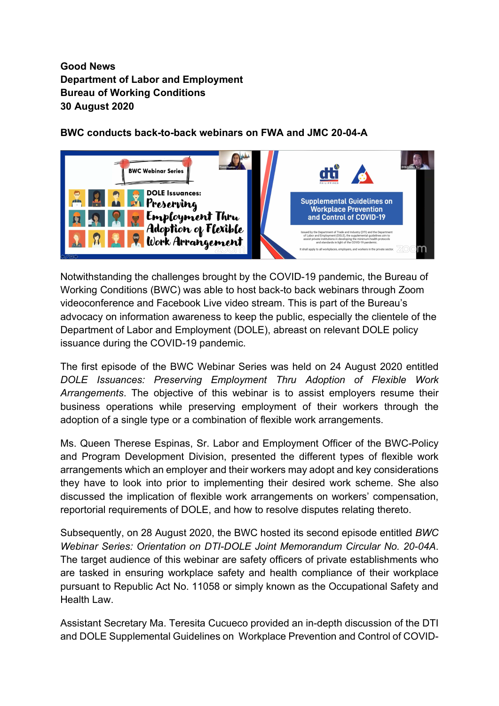## Good News Department of Labor and Employment Bureau of Working Conditions 30 August 2020

## BWC conducts back-to-back webinars on FWA and JMC 20-04-A



Notwithstanding the challenges brought by the COVID-19 pandemic, the Bureau of Working Conditions (BWC) was able to host back-to back webinars through Zoom videoconference and Facebook Live video stream. This is part of the Bureau's advocacy on information awareness to keep the public, especially the clientele of the Department of Labor and Employment (DOLE), abreast on relevant DOLE policy issuance during the COVID-19 pandemic.

The first episode of the BWC Webinar Series was held on 24 August 2020 entitled DOLE Issuances: Preserving Employment Thru Adoption of Flexible Work Arrangements. The objective of this webinar is to assist employers resume their business operations while preserving employment of their workers through the adoption of a single type or a combination of flexible work arrangements.

Ms. Queen Therese Espinas, Sr. Labor and Employment Officer of the BWC-Policy and Program Development Division, presented the different types of flexible work arrangements which an employer and their workers may adopt and key considerations they have to look into prior to implementing their desired work scheme. She also discussed the implication of flexible work arrangements on workers' compensation, reportorial requirements of DOLE, and how to resolve disputes relating thereto.

Subsequently, on 28 August 2020, the BWC hosted its second episode entitled BWC Webinar Series: Orientation on DTI-DOLE Joint Memorandum Circular No. 20-04A. The target audience of this webinar are safety officers of private establishments who are tasked in ensuring workplace safety and health compliance of their workplace pursuant to Republic Act No. 11058 or simply known as the Occupational Safety and Health Law.

Assistant Secretary Ma. Teresita Cucueco provided an in-depth discussion of the DTI and DOLE Supplemental Guidelines on Workplace Prevention and Control of COVID-